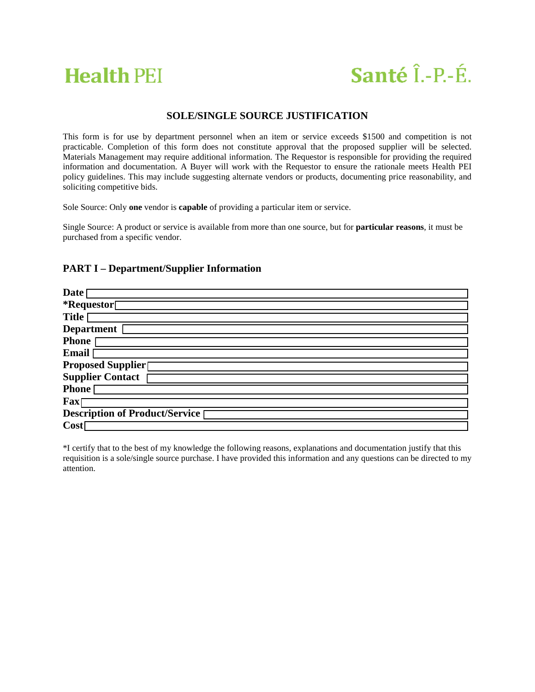# **Health PEI**

# Santé Î.-P.-É.

### **SOLE/SINGLE SOURCE JUSTIFICATION**

This form is for use by department personnel when an item or service exceeds \$1500 and competition is not practicable. Completion of this form does not constitute approval that the proposed supplier will be selected. Materials Management may require additional information. The Requestor is responsible for providing the required information and documentation. A Buyer will work with the Requestor to ensure the rationale meets Health PEI policy guidelines. This may include suggesting alternate vendors or products, documenting price reasonability, and soliciting competitive bids.

Sole Source: Only **one** vendor is **capable** of providing a particular item or service.

Single Source: A product or service is available from more than one source, but for **particular reasons**, it must be purchased from a specific vendor.

#### **PART I – Department/Supplier Information**

| Date !                                |  |
|---------------------------------------|--|
| *Requestor[                           |  |
| <b>Title</b>                          |  |
| <b>Department</b>                     |  |
| <b>Phone</b>                          |  |
| <b>Email</b>                          |  |
| Proposed Supplier                     |  |
| <b>Supplier Contact</b>               |  |
| Phone                                 |  |
| Fax                                   |  |
| <b>Description of Product/Service</b> |  |
| <b>Cost</b>                           |  |

\*I certify that to the best of my knowledge the following reasons, explanations and documentation justify that this requisition is a sole/single source purchase. I have provided this information and any questions can be directed to my attention.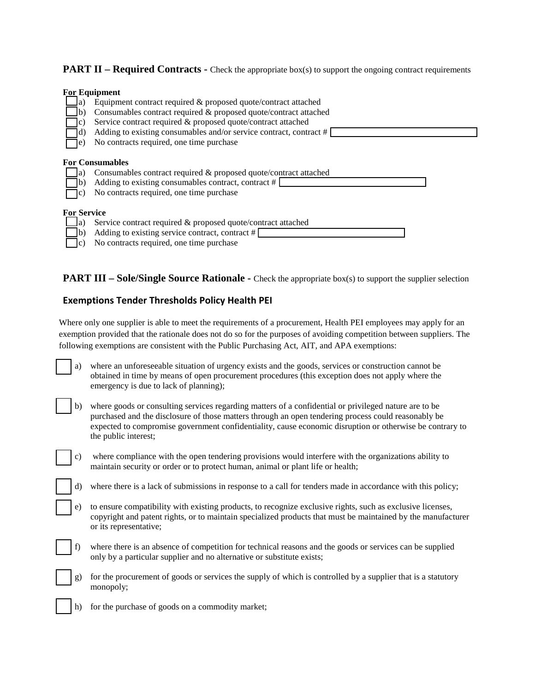**PART II – Required Contracts -** Check the appropriate box(s) to support the ongoing contract requirements

#### **For Equipment**

- a) Equipment contract required & proposed quote/contract attached
- b) Consumables contract required & proposed quote/contract attached
- $\bigcap$  c) Service contract required & proposed quote/contract attached
- d) Adding to existing consumables and/or service contract, contract #
- $\overline{\bf e}$ ) No contracts required, one time purchase

#### **For Consumables**

- a) Consumables contract required & proposed quote/contract attached
	- $\Box$ b) Adding to existing consumables contract, contract #
	- $\overline{c}$  No contracts required, one time purchase

#### **For Service**

֦

- a) Service contract required & proposed quote/contract attached
	- b) Adding to existing service contract, contract  $\#\Gamma$
	- c) No contracts required, one time purchase

**PART III – Sole/Single Source Rationale -** Check the appropriate box(s) to support the supplier selection

## **Exemptions Tender Thresholds Policy Health PEI**

Where only one supplier is able to meet the requirements of a procurement, Health PEI employees may apply for an exemption provided that the rationale does not do so for the purposes of avoiding competition between suppliers. The following exemptions are consistent with the Public Purchasing Act, AIT, and APA exemptions:

where an unforeseeable situation of urgency exists and the goods, services or construction cannot be obtained in time by means of open procurement procedures (this exception does not apply where the emergency is due to lack of planning);

b) where goods or consulting services regarding matters of a confidential or privileged nature are to be purchased and the disclosure of those matters through an open tendering process could reasonably be expected to compromise government confidentiality, cause economic disruption or otherwise be contrary to the public interest;

- c) where compliance with the open tendering provisions would interfere with the organizations ability to maintain security or order or to protect human, animal or plant life or health;
- d) where there is a lack of submissions in response to a call for tenders made in accordance with this policy;
- e) to ensure compatibility with existing products, to recognize exclusive rights, such as exclusive licenses, copyright and patent rights, or to maintain specialized products that must be maintained by the manufacturer or its representative;
- where there is an absence of competition for technical reasons and the goods or services can be supplied only by a particular supplier and no alternative or substitute exists;
- for the procurement of goods or services the supply of which is controlled by a supplier that is a statutory monopoly;
- h) for the purchase of goods on a commodity market;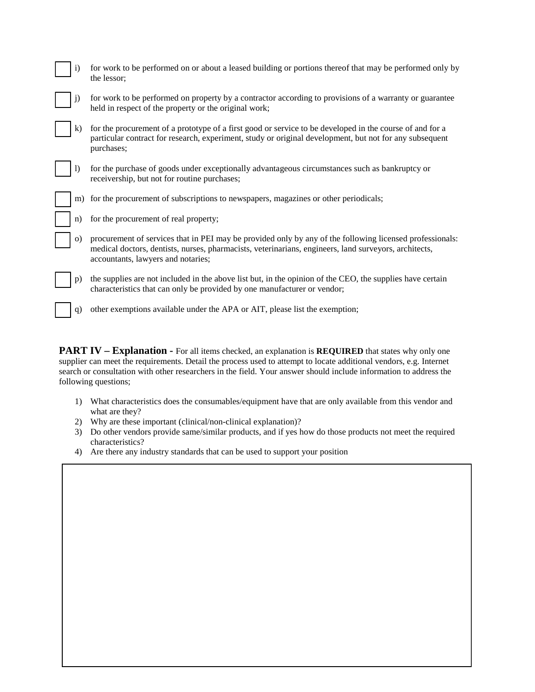| $\mathbf{i}$ | for work to be performed on or about a leased building or portions thereof that may be performed only by<br>the lessor;                                                                                                                                 |
|--------------|---------------------------------------------------------------------------------------------------------------------------------------------------------------------------------------------------------------------------------------------------------|
| j)           | for work to be performed on property by a contractor according to provisions of a warranty or guarantee<br>held in respect of the property or the original work;                                                                                        |
| $\mathbf{k}$ | for the procurement of a prototype of a first good or service to be developed in the course of and for a<br>particular contract for research, experiment, study or original development, but not for any subsequent<br>purchases;                       |
| $\bf{D}$     | for the purchase of goods under exceptionally advantageous circumstances such as bankruptcy or<br>receivership, but not for routine purchases;                                                                                                          |
| m)           | for the procurement of subscriptions to newspapers, magazines or other periodicals;                                                                                                                                                                     |
| n)           | for the procurement of real property;                                                                                                                                                                                                                   |
| $\Omega$     | procurement of services that in PEI may be provided only by any of the following licensed professionals:<br>medical doctors, dentists, nurses, pharmacists, veterinarians, engineers, land surveyors, architects,<br>accountants, lawyers and notaries; |
| p)           | the supplies are not included in the above list but, in the opinion of the CEO, the supplies have certain<br>characteristics that can only be provided by one manufacturer or vendor;                                                                   |
| q)           | other exemptions available under the APA or AIT, please list the exemption;                                                                                                                                                                             |

**PART IV – Explanation -** For all items checked, an explanation is **REQUIRED** that states why only one supplier can meet the requirements. Detail the process used to attempt to locate additional vendors, e.g. Internet search or consultation with other researchers in the field. Your answer should include information to address the following questions;

- 1) What characteristics does the consumables/equipment have that are only available from this vendor and what are they?
- 2) Why are these important (clinical/non-clinical explanation)?
- 3) Do other vendors provide same/similar products, and if yes how do those products not meet the required characteristics?
- 4) Are there any industry standards that can be used to support your position